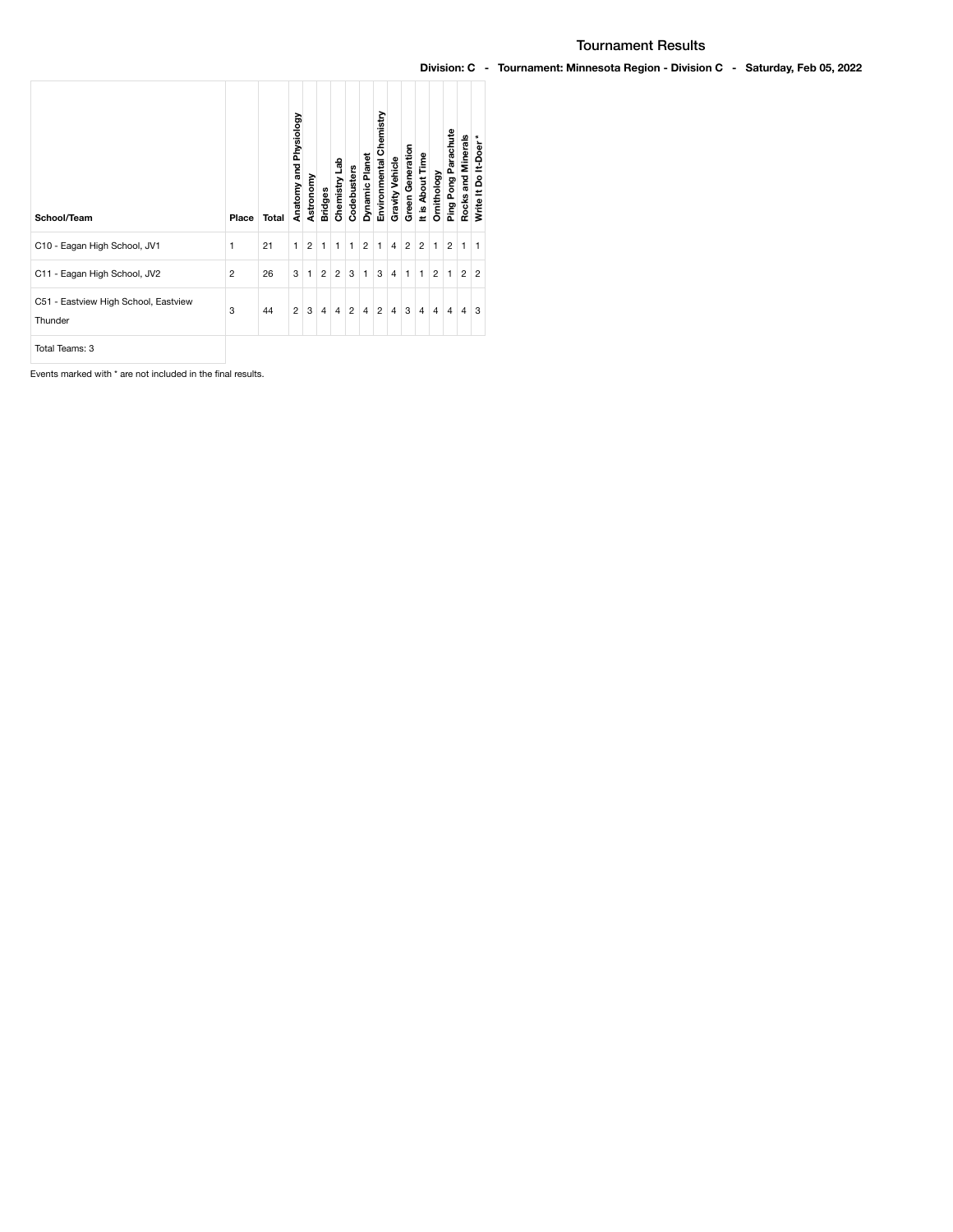| School/Team                                     | Place          | Total | Physiology<br>Anatomy and | Astronomy      | <b>Bridges</b> | Chemistry Lab  | Codebusters    | Dynamic Planet | Environmental Chemistry | Gravity Vehicle | Green Generation | It is About Time | Ornithology    | Ping Pong Parachute | Rocks and Minerals | Write It Do It-Doer* |
|-------------------------------------------------|----------------|-------|---------------------------|----------------|----------------|----------------|----------------|----------------|-------------------------|-----------------|------------------|------------------|----------------|---------------------|--------------------|----------------------|
| C10 - Eagan High School, JV1                    | 1              | 21    | 1                         | $\overline{2}$ | $\mathbf{1}$   | $\mathbf{1}$   | 1              | $\overline{2}$ | 1                       | 4               | 2                | $\overline{2}$   | $\mathbf{1}$   | $\overline{2}$      | 1                  | 1                    |
| C11 - Eagan High School, JV2                    | $\overline{2}$ | 26    | 3                         | 1              | $\overline{c}$ | $\overline{c}$ | 3              | 1              | 3                       | 4               | 1                | $\mathbf{1}$     | $\overline{2}$ | 1                   | $\overline{2}$     | $\overline{2}$       |
| C51 - Eastview High School, Eastview<br>Thunder | 3              | 44    | $\overline{2}$            | 3              | $\overline{4}$ | $\overline{4}$ | $\overline{c}$ | $\overline{4}$ | $\overline{2}$          | $\overline{4}$  | 3                | $\overline{4}$   | $\overline{4}$ | 4                   | $\overline{4}$     | 3                    |
| Total Teams: 3                                  |                |       |                           |                |                |                |                |                |                         |                 |                  |                  |                |                     |                    |                      |

Events marked with \* are not included in the final results.